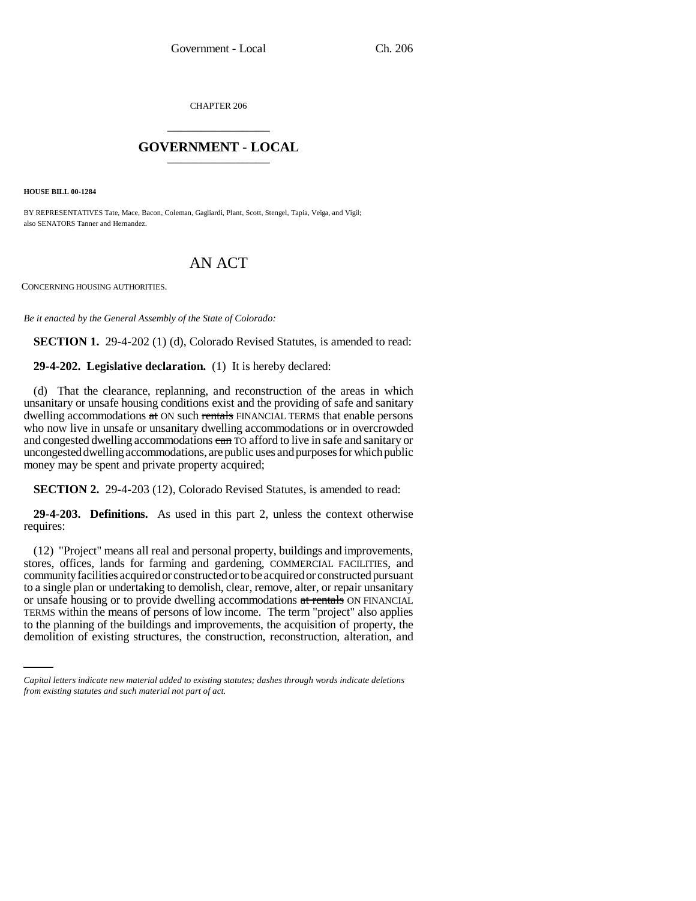CHAPTER 206 \_\_\_\_\_\_\_\_\_\_\_\_\_\_\_

## **GOVERNMENT - LOCAL** \_\_\_\_\_\_\_\_\_\_\_\_\_\_\_

**HOUSE BILL 00-1284** 

BY REPRESENTATIVES Tate, Mace, Bacon, Coleman, Gagliardi, Plant, Scott, Stengel, Tapia, Veiga, and Vigil; also SENATORS Tanner and Hernandez.

## AN ACT

CONCERNING HOUSING AUTHORITIES.

*Be it enacted by the General Assembly of the State of Colorado:*

**SECTION 1.** 29-4-202 (1) (d), Colorado Revised Statutes, is amended to read:

**29-4-202. Legislative declaration.** (1) It is hereby declared:

(d) That the clearance, replanning, and reconstruction of the areas in which unsanitary or unsafe housing conditions exist and the providing of safe and sanitary dwelling accommodations at ON such rentals FINANCIAL TERMS that enable persons who now live in unsafe or unsanitary dwelling accommodations or in overcrowded and congested dwelling accommodations can TO afford to live in safe and sanitary or uncongested dwelling accommodations, are public uses and purposes for which public money may be spent and private property acquired;

**SECTION 2.** 29-4-203 (12), Colorado Revised Statutes, is amended to read:

**29-4-203. Definitions.** As used in this part 2, unless the context otherwise requires:

TERMS within the means of persons of low income. The term "project" also applies (12) "Project" means all real and personal property, buildings and improvements, stores, offices, lands for farming and gardening, COMMERCIAL FACILITIES, and community facilities acquired or constructed or to be acquired or constructed pursuant to a single plan or undertaking to demolish, clear, remove, alter, or repair unsanitary or unsafe housing or to provide dwelling accommodations at rentals ON FINANCIAL to the planning of the buildings and improvements, the acquisition of property, the demolition of existing structures, the construction, reconstruction, alteration, and

*Capital letters indicate new material added to existing statutes; dashes through words indicate deletions from existing statutes and such material not part of act.*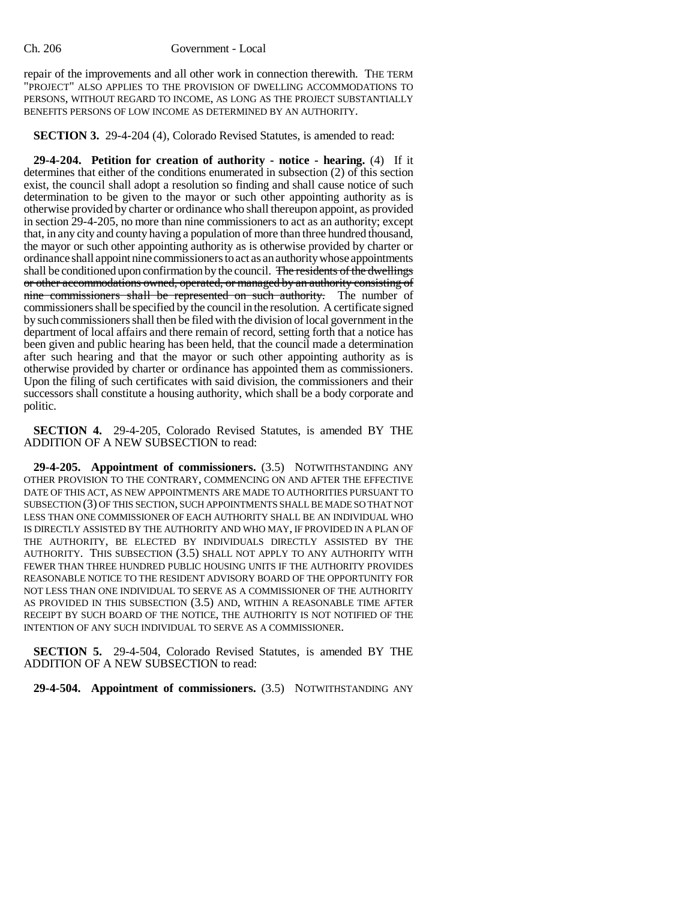repair of the improvements and all other work in connection therewith. THE TERM "PROJECT" ALSO APPLIES TO THE PROVISION OF DWELLING ACCOMMODATIONS TO PERSONS, WITHOUT REGARD TO INCOME, AS LONG AS THE PROJECT SUBSTANTIALLY BENEFITS PERSONS OF LOW INCOME AS DETERMINED BY AN AUTHORITY.

**SECTION 3.** 29-4-204 (4), Colorado Revised Statutes, is amended to read:

**29-4-204. Petition for creation of authority - notice - hearing.** (4) If it determines that either of the conditions enumerated in subsection (2) of this section exist, the council shall adopt a resolution so finding and shall cause notice of such determination to be given to the mayor or such other appointing authority as is otherwise provided by charter or ordinance who shall thereupon appoint, as provided in section 29-4-205, no more than nine commissioners to act as an authority; except that, in any city and county having a population of more than three hundred thousand, the mayor or such other appointing authority as is otherwise provided by charter or ordinance shall appoint nine commissioners to act as an authority whose appointments shall be conditioned upon confirmation by the council. The residents of the dwellings or other accommodations owned, operated, or managed by an authority consisting of nine commissioners shall be represented on such authority. The number of commissioners shall be specified by the council in the resolution. A certificate signed by such commissioners shall then be filed with the division of local government in the department of local affairs and there remain of record, setting forth that a notice has been given and public hearing has been held, that the council made a determination after such hearing and that the mayor or such other appointing authority as is otherwise provided by charter or ordinance has appointed them as commissioners. Upon the filing of such certificates with said division, the commissioners and their successors shall constitute a housing authority, which shall be a body corporate and politic.

**SECTION 4.** 29-4-205, Colorado Revised Statutes, is amended BY THE ADDITION OF A NEW SUBSECTION to read:

**29-4-205. Appointment of commissioners.** (3.5) NOTWITHSTANDING ANY OTHER PROVISION TO THE CONTRARY, COMMENCING ON AND AFTER THE EFFECTIVE DATE OF THIS ACT, AS NEW APPOINTMENTS ARE MADE TO AUTHORITIES PURSUANT TO SUBSECTION (3) OF THIS SECTION, SUCH APPOINTMENTS SHALL BE MADE SO THAT NOT LESS THAN ONE COMMISSIONER OF EACH AUTHORITY SHALL BE AN INDIVIDUAL WHO IS DIRECTLY ASSISTED BY THE AUTHORITY AND WHO MAY, IF PROVIDED IN A PLAN OF THE AUTHORITY, BE ELECTED BY INDIVIDUALS DIRECTLY ASSISTED BY THE AUTHORITY. THIS SUBSECTION (3.5) SHALL NOT APPLY TO ANY AUTHORITY WITH FEWER THAN THREE HUNDRED PUBLIC HOUSING UNITS IF THE AUTHORITY PROVIDES REASONABLE NOTICE TO THE RESIDENT ADVISORY BOARD OF THE OPPORTUNITY FOR NOT LESS THAN ONE INDIVIDUAL TO SERVE AS A COMMISSIONER OF THE AUTHORITY AS PROVIDED IN THIS SUBSECTION (3.5) AND, WITHIN A REASONABLE TIME AFTER RECEIPT BY SUCH BOARD OF THE NOTICE, THE AUTHORITY IS NOT NOTIFIED OF THE INTENTION OF ANY SUCH INDIVIDUAL TO SERVE AS A COMMISSIONER.

**SECTION 5.** 29-4-504, Colorado Revised Statutes, is amended BY THE ADDITION OF A NEW SUBSECTION to read:

**29-4-504. Appointment of commissioners.** (3.5) NOTWITHSTANDING ANY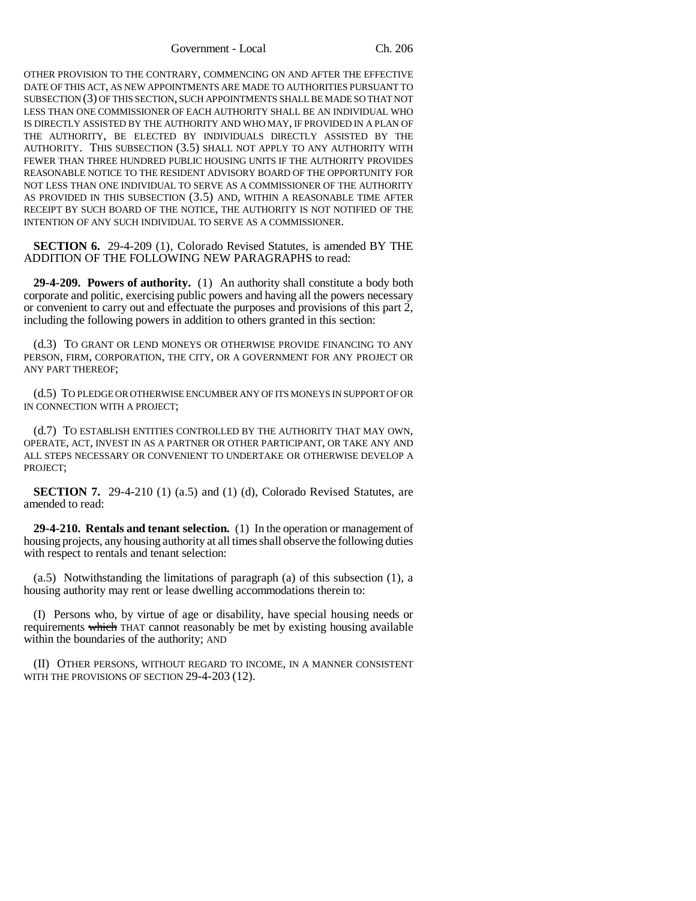Government - Local Ch. 206

OTHER PROVISION TO THE CONTRARY, COMMENCING ON AND AFTER THE EFFECTIVE DATE OF THIS ACT, AS NEW APPOINTMENTS ARE MADE TO AUTHORITIES PURSUANT TO SUBSECTION (3) OF THIS SECTION, SUCH APPOINTMENTS SHALL BE MADE SO THAT NOT LESS THAN ONE COMMISSIONER OF EACH AUTHORITY SHALL BE AN INDIVIDUAL WHO IS DIRECTLY ASSISTED BY THE AUTHORITY AND WHO MAY, IF PROVIDED IN A PLAN OF THE AUTHORITY, BE ELECTED BY INDIVIDUALS DIRECTLY ASSISTED BY THE AUTHORITY. THIS SUBSECTION (3.5) SHALL NOT APPLY TO ANY AUTHORITY WITH FEWER THAN THREE HUNDRED PUBLIC HOUSING UNITS IF THE AUTHORITY PROVIDES REASONABLE NOTICE TO THE RESIDENT ADVISORY BOARD OF THE OPPORTUNITY FOR NOT LESS THAN ONE INDIVIDUAL TO SERVE AS A COMMISSIONER OF THE AUTHORITY AS PROVIDED IN THIS SUBSECTION (3.5) AND, WITHIN A REASONABLE TIME AFTER RECEIPT BY SUCH BOARD OF THE NOTICE, THE AUTHORITY IS NOT NOTIFIED OF THE INTENTION OF ANY SUCH INDIVIDUAL TO SERVE AS A COMMISSIONER.

**SECTION 6.** 29-4-209 (1), Colorado Revised Statutes, is amended BY THE ADDITION OF THE FOLLOWING NEW PARAGRAPHS to read:

**29-4-209. Powers of authority.** (1) An authority shall constitute a body both corporate and politic, exercising public powers and having all the powers necessary or convenient to carry out and effectuate the purposes and provisions of this part 2, including the following powers in addition to others granted in this section:

(d.3) TO GRANT OR LEND MONEYS OR OTHERWISE PROVIDE FINANCING TO ANY PERSON, FIRM, CORPORATION, THE CITY, OR A GOVERNMENT FOR ANY PROJECT OR ANY PART THEREOF;

(d.5) TO PLEDGE OR OTHERWISE ENCUMBER ANY OF ITS MONEYS IN SUPPORT OF OR IN CONNECTION WITH A PROJECT;

(d.7) TO ESTABLISH ENTITIES CONTROLLED BY THE AUTHORITY THAT MAY OWN, OPERATE, ACT, INVEST IN AS A PARTNER OR OTHER PARTICIPANT, OR TAKE ANY AND ALL STEPS NECESSARY OR CONVENIENT TO UNDERTAKE OR OTHERWISE DEVELOP A PROJECT;

**SECTION 7.** 29-4-210 (1) (a.5) and (1) (d), Colorado Revised Statutes, are amended to read:

**29-4-210. Rentals and tenant selection.** (1) In the operation or management of housing projects, any housing authority at all times shall observe the following duties with respect to rentals and tenant selection:

(a.5) Notwithstanding the limitations of paragraph (a) of this subsection (1), a housing authority may rent or lease dwelling accommodations therein to:

(I) Persons who, by virtue of age or disability, have special housing needs or requirements which THAT cannot reasonably be met by existing housing available within the boundaries of the authority; AND

(II) OTHER PERSONS, WITHOUT REGARD TO INCOME, IN A MANNER CONSISTENT WITH THE PROVISIONS OF SECTION 29-4-203 (12).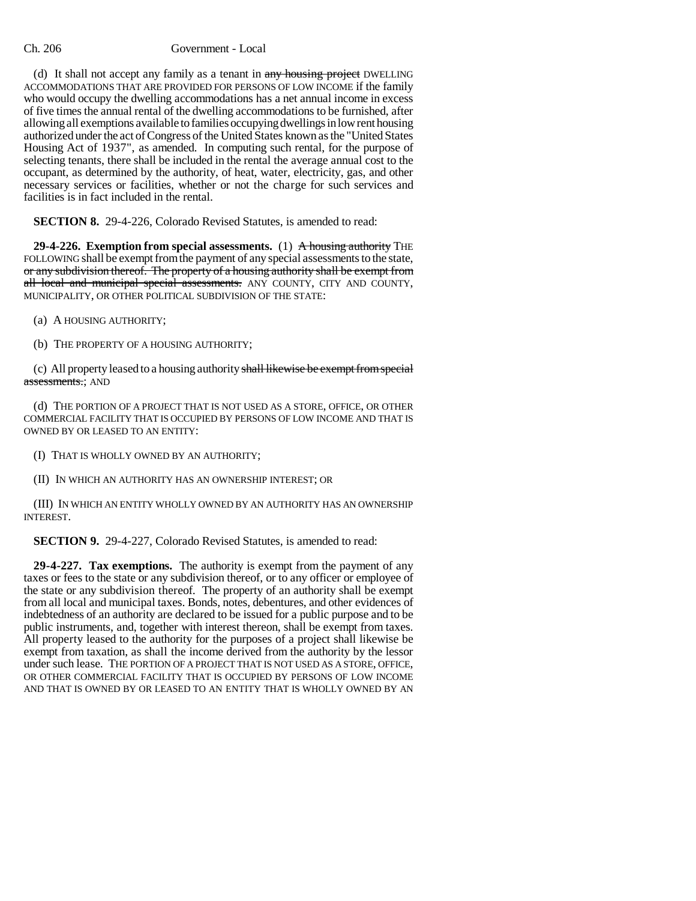## Ch. 206 Government - Local

(d) It shall not accept any family as a tenant in any housing project DWELLING ACCOMMODATIONS THAT ARE PROVIDED FOR PERSONS OF LOW INCOME if the family who would occupy the dwelling accommodations has a net annual income in excess of five times the annual rental of the dwelling accommodations to be furnished, after allowing all exemptions available to families occupying dwellings in low rent housing authorized under the act of Congress of the United States known as the "United States Housing Act of 1937", as amended. In computing such rental, for the purpose of selecting tenants, there shall be included in the rental the average annual cost to the occupant, as determined by the authority, of heat, water, electricity, gas, and other necessary services or facilities, whether or not the charge for such services and facilities is in fact included in the rental.

**SECTION 8.** 29-4-226, Colorado Revised Statutes, is amended to read:

**29-4-226. Exemption from special assessments.** (1) A housing authority THE FOLLOWING shall be exempt from the payment of any special assessments to the state, or any subdivision thereof. The property of a housing authority shall be exempt from all local and municipal special assessments. ANY COUNTY, CITY AND COUNTY, MUNICIPALITY, OR OTHER POLITICAL SUBDIVISION OF THE STATE:

(a) A HOUSING AUTHORITY;

(b) THE PROPERTY OF A HOUSING AUTHORITY;

(c) All property leased to a housing authority shall likewise be exempt from special assessments.; AND

(d) THE PORTION OF A PROJECT THAT IS NOT USED AS A STORE, OFFICE, OR OTHER COMMERCIAL FACILITY THAT IS OCCUPIED BY PERSONS OF LOW INCOME AND THAT IS OWNED BY OR LEASED TO AN ENTITY:

(I) THAT IS WHOLLY OWNED BY AN AUTHORITY;

(II) IN WHICH AN AUTHORITY HAS AN OWNERSHIP INTEREST; OR

(III) IN WHICH AN ENTITY WHOLLY OWNED BY AN AUTHORITY HAS AN OWNERSHIP INTEREST.

**SECTION 9.** 29-4-227, Colorado Revised Statutes, is amended to read:

**29-4-227. Tax exemptions.** The authority is exempt from the payment of any taxes or fees to the state or any subdivision thereof, or to any officer or employee of the state or any subdivision thereof. The property of an authority shall be exempt from all local and municipal taxes. Bonds, notes, debentures, and other evidences of indebtedness of an authority are declared to be issued for a public purpose and to be public instruments, and, together with interest thereon, shall be exempt from taxes. All property leased to the authority for the purposes of a project shall likewise be exempt from taxation, as shall the income derived from the authority by the lessor under such lease. THE PORTION OF A PROJECT THAT IS NOT USED AS A STORE, OFFICE, OR OTHER COMMERCIAL FACILITY THAT IS OCCUPIED BY PERSONS OF LOW INCOME AND THAT IS OWNED BY OR LEASED TO AN ENTITY THAT IS WHOLLY OWNED BY AN